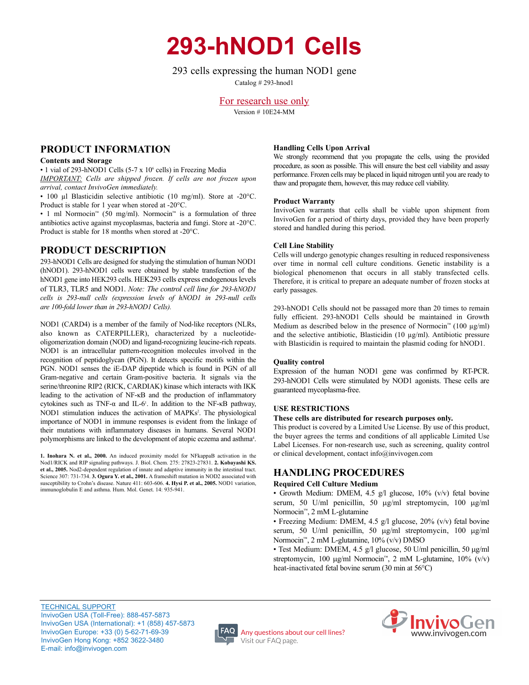# **293-hNOD1 Cells**

293 cells expressing the human NOD1 gene Catalog # 293-hnod1

# For research use only

Version # 10E24-MM

# **ProdUCt inforMAtion**

# **Contents and Storage**

• 1 vial of 293-hNOD1 Cells (5-7 x 10<sup>6</sup> cells) in Freezing Media *IMPORTANT: Cells are shipped frozen. If cells are not frozen upon arrival, contact InvivoGen immediately.*

• 100 µl Blasticidin selective antibiotic (10 mg/ml). Store at -20°C. Product is stable for 1 year when stored at -20°C.

• 1 ml Normocin™ (50 mg/ml). Normocin™ is a formulation of three antibiotics active against mycoplasmas, bacteria and fungi. Store at -20°C. Product is stable for 18 months when stored at -20°C.

# **ProdUCt deSCriPtion**

293-hNOD1 Cells are designed for studying the stimulation of human NOD1 (hNOD1). 293-hNOD1 cells were obtained by stable transfection of the hNOD1 gene into HEK293 cells. HEK293 cells express endogenous levels of TLR3, TLR5 and NOD1. *Note: The control cell line for 293-hNOD1 cells is 293-null cells (expression levels of hNOD1 in 293-null cells are 100-fold lower than in 293-hNOD1 Cells).* 

NOD1 (CARD4) is a member of the family of Nod-like receptors (NLRs, also known as CATERPILLER), characterized by a nucleotideoligomerization domain (NOD) and ligand-recognizing leucine-rich repeats. NOD1 is an intracellular pattern-recognition molecules involved in the recognition of peptidoglycan (PGN). It detects specific motifs within the PGN. NOD1 senses the iE-DAP dipeptide which is found in PGN of all Gram-negative and certain Gram-positive bacteria. It signals via the serine/threonine RIP2 (RICK, CARDIAK) kinase which interacts with IKK leading to the activation of NF-κB and the production of inflammatory cytokines such as TNF- $\alpha$  and IL-6<sup>1</sup>. In addition to the NF- $\kappa$ B pathway, NOD1 stimulation induces the activation of MAPKs<sup>2</sup>. The physiological importance of NOD1 in immune responses is evident from the linkage of their mutations with inflammatory diseases in humans. Several NOD1 polymorphisms are linked to the development of atopic eczema and asthma<sup>4</sup>.

**1. inohara n. et al., 2000.** An induced proximity model for NFkappaB activation in the Nod1/RICK and RIP signaling pathways. J. Biol. Chem. 275: 27823-27831. **2. Kobayashi KS. et al., 2005.** Nod2-dependent regulation of innate and adaptive immunity in the intestinal tract. Science 307: 731-734. **3. ogura Y. et al., 2001.** A frameshift mutation in NOD2 associated with susceptibility to Crohn's disease. Nature 411: 603-606. **4. Hysi P. et al., 2005.** NOD1 variation, immunoglobulin E and asthma. Hum. Mol. Genet. 14: 935-941.

# **Handling Cells Upon Arrival**

We strongly recommend that you propagate the cells, using the provided procedure, as soon as possible. This will ensure the best cell viability and assay performance. Frozen cells may be placed in liquid nitrogen until you are ready to thaw and propagate them, however, this may reduce cell viability.

# **Product Warranty**

InvivoGen warrants that cells shall be viable upon shipment from InvivoGen for a period of thirty days, provided they have been properly stored and handled during this period.

# **Cell Line Stability**

Cells will undergo genotypic changes resulting in reduced responsiveness over time in normal cell culture conditions. Genetic instability is a biological phenomenon that occurs in all stably transfected cells. Therefore, it is critical to prepare an adequate number of frozen stocks at early passages.

293-hNOD1 Cells should not be passaged more than 20 times to remain fully efficient. 293-hNOD1 Cells should be maintained in Growth Medium as described below in the presence of Normocin<sup>™</sup> (100  $\mu$ g/ml) and the selective antibiotic, Blasticidin (10 µg/ml). Antibiotic pressure with Blasticidin is required to maintain the plasmid coding for hNOD1.

# **Quality control**

Expression of the human NOD1 gene was confirmed by RT-PCR. 293-hNOD1 Cells were stimulated by NOD1 agonists. These cells are guaranteed mycoplasma-free.

#### **USe reStriCtionS**

### **these cells are distributed for research purposes only.**

This product is covered by a Limited Use License. By use of this product, the buyer agrees the terms and conditions of all applicable Limited Use Label Licenses. For non-research use, such as screening, quality control or clinical development, contact info@invivogen.com

# **HAndLing ProCedUreS**

#### **Required Cell Culture Medium**

• Growth Medium: DMEM, 4.5 g/l glucose, 10% (v/v) fetal bovine serum, 50 U/ml penicillin, 50 µg/ml streptomycin, 100 µg/ml Normocin™, 2 mM L-glutamine

• Freezing Medium: DMEM, 4.5 g/l glucose, 20% (v/v) fetal bovine serum, 50 U/ml penicillin, 50 µg/ml streptomycin, 100 µg/ml Normocin™, 2 mM L-glutamine, 10% (v/v) DMSO

• Test Medium: DMEM, 4.5 g/l glucose, 50 U/ml penicillin, 50 µg/ml streptomycin, 100 µg/ml Normocin<sup>™</sup>, 2 mM L-glutamine, 10% (v/v) heat-inactivated fetal bovine serum (30 min at 56°C)

TECHNICAL SUPPORT InvivoGen USA (Toll-Free): 888-457-5873 InvivoGen USA (International): +1 (858) 457-5873 InvivoGen Europe: +33 (0) 5-62-71-69-39 InvivoGen Hong Kong: +852 3622-3480 E-mail: info@invivogen.com



FAQ Any questions about our cell lines? Visit our FAQ page.